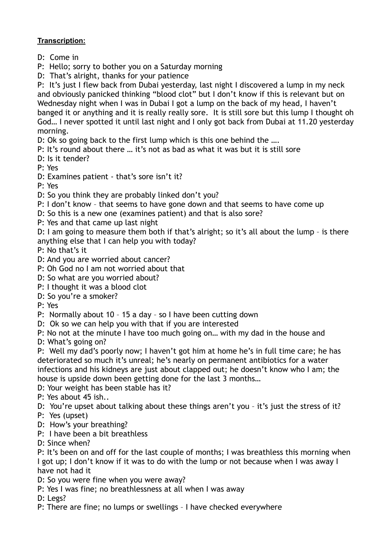## **Transcription:**

- D: Come in
- P: Hello; sorry to bother you on a Saturday morning
- D: That's alright, thanks for your patience

P: It's just I flew back from Dubai yesterday, last night I discovered a lump in my neck and obviously panicked thinking "blood clot" but I don't know if this is relevant but on Wednesday night when I was in Dubai I got a lump on the back of my head, I haven't banged it or anything and it is really really sore. It is still sore but this lump I thought oh God… I never spotted it until last night and I only got back from Dubai at 11.20 yesterday morning.

D: Ok so going back to the first lump which is this one behind the ....

- P: It's round about there … it's not as bad as what it was but it is still sore
- D: Is it tender?

P: Yes

D: Examines patient - that's sore isn't it?

P: Yes

- D: So you think they are probably linked don't you?
- P: I don't know that seems to have gone down and that seems to have come up
- D: So this is a new one (examines patient) and that is also sore?
- P: Yes and that came up last night

D: I am going to measure them both if that's alright; so it's all about the lump – is there anything else that I can help you with today?

- P: No that's it
- D: And you are worried about cancer?
- P: Oh God no I am not worried about that
- D: So what are you worried about?
- P: I thought it was a blood clot
- D: So you're a smoker?

P: Yes

- P: Normally about 10 15 a day so I have been cutting down
- D: Ok so we can help you with that if you are interested

P: No not at the minute I have too much going on… with my dad in the house and

D: What's going on?

P: Well my dad's poorly now; I haven't got him at home he's in full time care; he has deteriorated so much it's unreal; he's nearly on permanent antibiotics for a water infections and his kidneys are just about clapped out; he doesn't know who I am; the house is upside down been getting done for the last 3 months…

D: Your weight has been stable has it?

P: Yes about 45 ish..

D: You're upset about talking about these things aren't you - it's just the stress of it?

- P: Yes (upset)
- D: How's your breathing?
- P: I have been a bit breathless
- D: Since when?

P: It's been on and off for the last couple of months; I was breathless this morning when I got up; I don't know if it was to do with the lump or not because when I was away I have not had it

D: So you were fine when you were away?

P: Yes I was fine; no breathlessness at all when I was away

D: Legs?

P: There are fine; no lumps or swellings – I have checked everywhere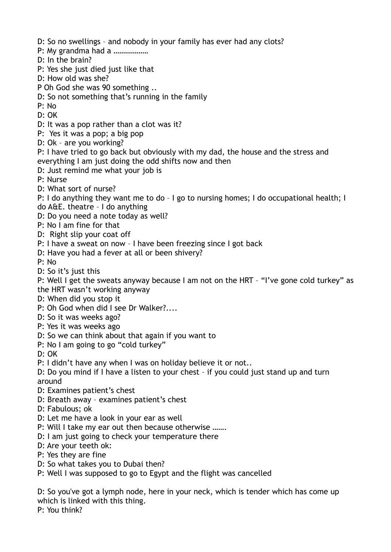- D: So no swellings and nobody in your family has ever had any clots?
- P: My grandma had a ………………
- D: In the brain?
- P: Yes she just died just like that
- D: How old was she?
- P Oh God she was 90 something ..
- D: So not something that's running in the family
- P: No
- D: OK
- D: It was a pop rather than a clot was it?
- P: Yes it was a pop; a big pop
- D: Ok are you working?
- P: I have tried to go back but obviously with my dad, the house and the stress and everything I am just doing the odd shifts now and then
- D: Just remind me what your job is
- P: Nurse
- D: What sort of nurse?
- P: I do anything they want me to do I go to nursing homes; I do occupational health; I do A&E. theatre – I do anything
- D: Do you need a note today as well?
- P: No I am fine for that
- D: Right slip your coat off
- P: I have a sweat on now I have been freezing since I got back
- D: Have you had a fever at all or been shivery?
- P: No
- D: So it's just this
- P: Well I get the sweats anyway because I am not on the HRT "I've gone cold turkey" as the HRT wasn't working anyway
- D: When did you stop it
- P: Oh God when did I see Dr Walker?....
- D: So it was weeks ago?
- P: Yes it was weeks ago
- D: So we can think about that again if you want to
- P: No I am going to go "cold turkey"
- D: OK
- P: I didn't have any when I was on holiday believe it or not..
- D: Do you mind if I have a listen to your chest if you could just stand up and turn around
- D: Examines patient's chest
- D: Breath away examines patient's chest
- D: Fabulous; ok
- D: Let me have a look in your ear as well
- P: Will I take my ear out then because otherwise .......
- D: I am just going to check your temperature there
- D: Are your teeth ok:
- P: Yes they are fine
- D: So what takes you to Dubai then?
- P: Well I was supposed to go to Egypt and the flight was cancelled

D: So you've got a lymph node, here in your neck, which is tender which has come up which is linked with this thing.

P: You think?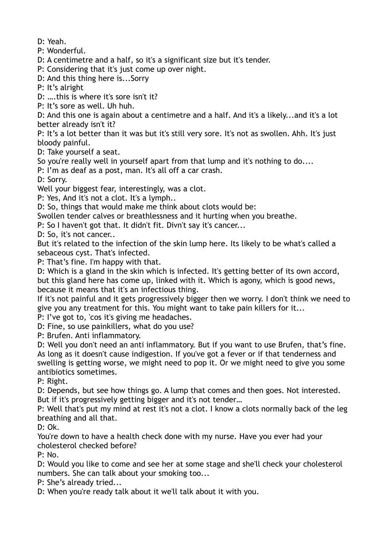D: Yeah.

P: Wonderful.

D: A centimetre and a half, so it's a significant size but it's tender.

P: Considering that it's just come up over night.

D: And this thing here is...Sorry

P: It's alright

D: ….this is where it's sore isn't it?

P: It's sore as well. Uh huh.

D: And this one is again about a centimetre and a half. And it's a likely...and it's a lot better already isn't it?

P: It's a lot better than it was but it's still very sore. It's not as swollen. Ahh. It's just bloody painful.

D: Take yourself a seat.

So you're really well in yourself apart from that lump and it's nothing to do....

P: I'm as deaf as a post, man. It's all off a car crash.

D: Sorry.

Well your biggest fear, interestingly, was a clot.

P: Yes, And it's not a clot. It's a lymph..

D: So, things that would make me think about clots would be:

Swollen tender calves or breathlessness and it hurting when you breathe.

P: So I haven't got that. It didn't fit. Divn't say it's cancer...

D: So, it's not cancer..

But it's related to the infection of the skin lump here. Its likely to be what's called a sebaceous cyst. That's infected.

P: That's fine. I'm happy with that.

D: Which is a gland in the skin which is infected. It's getting better of its own accord, but this gland here has come up, linked with it. Which is agony, which is good news, because it means that it's an infectious thing.

If it's not painful and it gets progressively bigger then we worry. I don't think we need to give you any treatment for this. You might want to take pain killers for it...

P: I've got to, 'cos it's giving me headaches.

D: Fine, so use painkillers, what do you use?

P: Brufen. Anti inflammatory.

D: Well you don't need an anti inflammatory. But if you want to use Brufen, that's fine. As long as it doesn't cause indigestion. If you've got a fever or if that tenderness and swelling is getting worse, we might need to pop it. Or we might need to give you some antibiotics sometimes.

P: Right.

D: Depends, but see how things go. A lump that comes and then goes. Not interested. But if it's progressively getting bigger and it's not tender…

P: Well that's put my mind at rest it's not a clot. I know a clots normally back of the leg breathing and all that.

D: Ok.

You're down to have a health check done with my nurse. Have you ever had your cholesterol checked before?

P: No.

D: Would you like to come and see her at some stage and she'll check your cholesterol numbers. She can talk about your smoking too...

P: She's already tried...

D: When you're ready talk about it we'll talk about it with you.